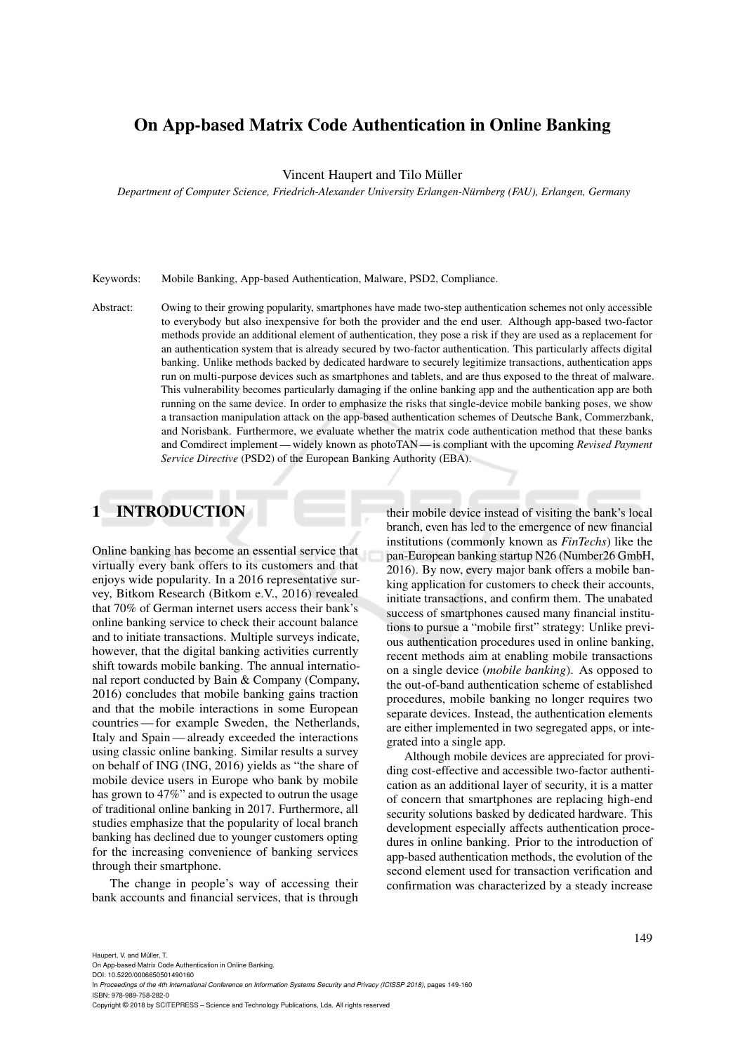## On App-based Matrix Code Authentication in Online Banking

Vincent Haupert and Tilo Müller

*Department of Computer Science, Friedrich-Alexander University Erlangen-Nürnberg (FAU), Erlangen, Germany*

Keywords: Mobile Banking, App-based Authentication, Malware, PSD2, Compliance.

Abstract: Owing to their growing popularity, smartphones have made two-step authentication schemes not only accessible to everybody but also inexpensive for both the provider and the end user. Although app-based two-factor methods provide an additional element of authentication, they pose a risk if they are used as a replacement for an authentication system that is already secured by two-factor authentication. This particularly affects digital banking. Unlike methods backed by dedicated hardware to securely legitimize transactions, authentication apps run on multi-purpose devices such as smartphones and tablets, and are thus exposed to the threat of malware. This vulnerability becomes particularly damaging if the online banking app and the authentication app are both running on the same device. In order to emphasize the risks that single-device mobile banking poses, we show a transaction manipulation attack on the app-based authentication schemes of Deutsche Bank, Commerzbank, and Norisbank. Furthermore, we evaluate whether the matrix code authentication method that these banks and Comdirect implement — widely known as photoTAN — is compliant with the upcoming *Revised Payment Service Directive* (PSD2) of the European Banking Authority (EBA).

# 1 INTRODUCTION

Online banking has become an essential service that virtually every bank offers to its customers and that enjoys wide popularity. In a 2016 representative survey, Bitkom Research (Bitkom e.V., 2016) revealed that 70% of German internet users access their bank's online banking service to check their account balance and to initiate transactions. Multiple surveys indicate, however, that the digital banking activities currently shift towards mobile banking. The annual international report conducted by Bain & Company (Company, 2016) concludes that mobile banking gains traction and that the mobile interactions in some European countries — for example Sweden, the Netherlands, Italy and Spain — already exceeded the interactions using classic online banking. Similar results a survey on behalf of ING (ING, 2016) yields as "the share of mobile device users in Europe who bank by mobile has grown to 47%" and is expected to outrun the usage of traditional online banking in 2017. Furthermore, all studies emphasize that the popularity of local branch banking has declined due to younger customers opting for the increasing convenience of banking services through their smartphone.

The change in people's way of accessing their bank accounts and financial services, that is through

their mobile device instead of visiting the bank's local branch, even has led to the emergence of new financial institutions (commonly known as *FinTechs*) like the pan-European banking startup N26 (Number26 GmbH, 2016). By now, every major bank offers a mobile banking application for customers to check their accounts, initiate transactions, and confirm them. The unabated success of smartphones caused many financial institutions to pursue a "mobile first" strategy: Unlike previous authentication procedures used in online banking, recent methods aim at enabling mobile transactions on a single device (*mobile banking*). As opposed to the out-of-band authentication scheme of established procedures, mobile banking no longer requires two separate devices. Instead, the authentication elements are either implemented in two segregated apps, or integrated into a single app.

Although mobile devices are appreciated for providing cost-effective and accessible two-factor authentication as an additional layer of security, it is a matter of concern that smartphones are replacing high-end security solutions basked by dedicated hardware. This development especially affects authentication procedures in online banking. Prior to the introduction of app-based authentication methods, the evolution of the second element used for transaction verification and confirmation was characterized by a steady increase

On App-based Matrix Code Authentication in Online Banking.

DOI: 10.5220/0006650501490160 In *Proceedings of the 4th International Conference on Information Systems Security and Privacy (ICISSP 2018)*, pages 149-160 ISBN: 978-989-758-282-0

Copyright © 2018 by SCITEPRESS – Science and Technology Publications, Lda. All rights reserved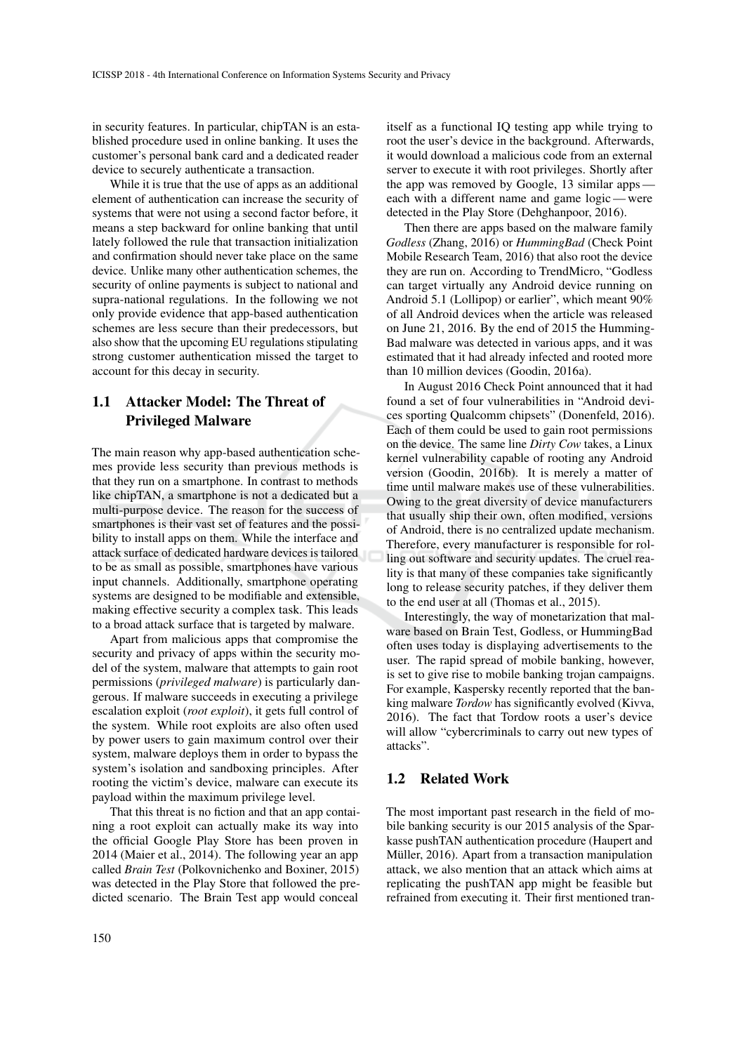in security features. In particular, chipTAN is an established procedure used in online banking. It uses the customer's personal bank card and a dedicated reader device to securely authenticate a transaction.

While it is true that the use of apps as an additional element of authentication can increase the security of systems that were not using a second factor before, it means a step backward for online banking that until lately followed the rule that transaction initialization and confirmation should never take place on the same device. Unlike many other authentication schemes, the security of online payments is subject to national and supra-national regulations. In the following we not only provide evidence that app-based authentication schemes are less secure than their predecessors, but also show that the upcoming EU regulations stipulating strong customer authentication missed the target to account for this decay in security.

## 1.1 Attacker Model: The Threat of Privileged Malware

The main reason why app-based authentication schemes provide less security than previous methods is that they run on a smartphone. In contrast to methods like chipTAN, a smartphone is not a dedicated but a multi-purpose device. The reason for the success of smartphones is their vast set of features and the possibility to install apps on them. While the interface and attack surface of dedicated hardware devices is tailored to be as small as possible, smartphones have various input channels. Additionally, smartphone operating systems are designed to be modifiable and extensible, making effective security a complex task. This leads to a broad attack surface that is targeted by malware.

Apart from malicious apps that compromise the security and privacy of apps within the security model of the system, malware that attempts to gain root permissions (*privileged malware*) is particularly dangerous. If malware succeeds in executing a privilege escalation exploit (*root exploit*), it gets full control of the system. While root exploits are also often used by power users to gain maximum control over their system, malware deploys them in order to bypass the system's isolation and sandboxing principles. After rooting the victim's device, malware can execute its payload within the maximum privilege level.

That this threat is no fiction and that an app containing a root exploit can actually make its way into the official Google Play Store has been proven in 2014 (Maier et al., 2014). The following year an app called *Brain Test* (Polkovnichenko and Boxiner, 2015) was detected in the Play Store that followed the predicted scenario. The Brain Test app would conceal itself as a functional IQ testing app while trying to root the user's device in the background. Afterwards, it would download a malicious code from an external server to execute it with root privileges. Shortly after the app was removed by Google, 13 similar apps each with a different name and game logic — were detected in the Play Store (Dehghanpoor, 2016).

Then there are apps based on the malware family *Godless* (Zhang, 2016) or *HummingBad* (Check Point Mobile Research Team, 2016) that also root the device they are run on. According to TrendMicro, "Godless can target virtually any Android device running on Android 5.1 (Lollipop) or earlier", which meant 90% of all Android devices when the article was released on June 21, 2016. By the end of 2015 the Humming-Bad malware was detected in various apps, and it was estimated that it had already infected and rooted more than 10 million devices (Goodin, 2016a).

In August 2016 Check Point announced that it had found a set of four vulnerabilities in "Android devices sporting Qualcomm chipsets" (Donenfeld, 2016). Each of them could be used to gain root permissions on the device. The same line *Dirty Cow* takes, a Linux kernel vulnerability capable of rooting any Android version (Goodin, 2016b). It is merely a matter of time until malware makes use of these vulnerabilities. Owing to the great diversity of device manufacturers that usually ship their own, often modified, versions of Android, there is no centralized update mechanism. Therefore, every manufacturer is responsible for rolling out software and security updates. The cruel reality is that many of these companies take significantly long to release security patches, if they deliver them to the end user at all (Thomas et al., 2015).

Interestingly, the way of monetarization that malware based on Brain Test, Godless, or HummingBad often uses today is displaying advertisements to the user. The rapid spread of mobile banking, however, is set to give rise to mobile banking trojan campaigns. For example, Kaspersky recently reported that the banking malware *Tordow* has significantly evolved (Kivva, 2016). The fact that Tordow roots a user's device will allow "cybercriminals to carry out new types of attacks".

### 1.2 Related Work

The most important past research in the field of mobile banking security is our 2015 analysis of the Sparkasse pushTAN authentication procedure (Haupert and Müller, 2016). Apart from a transaction manipulation attack, we also mention that an attack which aims at replicating the pushTAN app might be feasible but refrained from executing it. Their first mentioned tran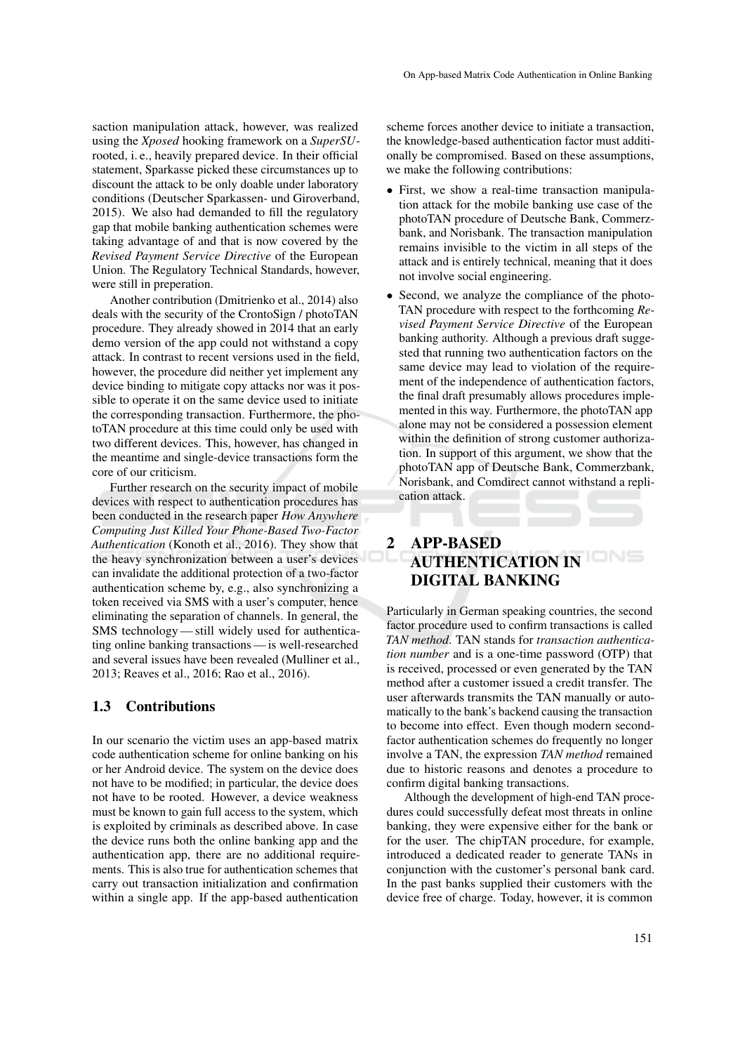saction manipulation attack, however, was realized using the *Xposed* hooking framework on a *SuperSU*rooted, i. e., heavily prepared device. In their official statement, Sparkasse picked these circumstances up to discount the attack to be only doable under laboratory conditions (Deutscher Sparkassen- und Giroverband, 2015). We also had demanded to fill the regulatory gap that mobile banking authentication schemes were taking advantage of and that is now covered by the *Revised Payment Service Directive* of the European Union. The Regulatory Technical Standards, however, were still in preperation.

Another contribution (Dmitrienko et al., 2014) also deals with the security of the CrontoSign / photoTAN procedure. They already showed in 2014 that an early demo version of the app could not withstand a copy attack. In contrast to recent versions used in the field, however, the procedure did neither yet implement any device binding to mitigate copy attacks nor was it possible to operate it on the same device used to initiate the corresponding transaction. Furthermore, the photoTAN procedure at this time could only be used with two different devices. This, however, has changed in the meantime and single-device transactions form the core of our criticism.

Further research on the security impact of mobile devices with respect to authentication procedures has been conducted in the research paper *How Anywhere Computing Just Killed Your Phone-Based Two-Factor Authentication* (Konoth et al., 2016). They show that the heavy synchronization between a user's devices can invalidate the additional protection of a two-factor authentication scheme by, e.g., also synchronizing a token received via SMS with a user's computer, hence eliminating the separation of channels. In general, the SMS technology — still widely used for authenticating online banking transactions — is well-researched and several issues have been revealed (Mulliner et al., 2013; Reaves et al., 2016; Rao et al., 2016).

### 1.3 Contributions

In our scenario the victim uses an app-based matrix code authentication scheme for online banking on his or her Android device. The system on the device does not have to be modified; in particular, the device does not have to be rooted. However, a device weakness must be known to gain full access to the system, which is exploited by criminals as described above. In case the device runs both the online banking app and the authentication app, there are no additional requirements. This is also true for authentication schemes that carry out transaction initialization and confirmation within a single app. If the app-based authentication

scheme forces another device to initiate a transaction, the knowledge-based authentication factor must additionally be compromised. Based on these assumptions, we make the following contributions:

- First, we show a real-time transaction manipulation attack for the mobile banking use case of the photoTAN procedure of Deutsche Bank, Commerzbank, and Norisbank. The transaction manipulation remains invisible to the victim in all steps of the attack and is entirely technical, meaning that it does not involve social engineering.
- Second, we analyze the compliance of the photo-TAN procedure with respect to the forthcoming *Revised Payment Service Directive* of the European banking authority. Although a previous draft suggested that running two authentication factors on the same device may lead to violation of the requirement of the independence of authentication factors, the final draft presumably allows procedures implemented in this way. Furthermore, the photoTAN app alone may not be considered a possession element within the definition of strong customer authorization. In support of this argument, we show that the photoTAN app of Deutsche Bank, Commerzbank, Norisbank, and Comdirect cannot withstand a replication attack.

# 2 APP-BASED AUTHENTICATION IN DIGITAL BANKING

Particularly in German speaking countries, the second factor procedure used to confirm transactions is called *TAN method*. TAN stands for *transaction authentication number* and is a one-time password (OTP) that is received, processed or even generated by the TAN method after a customer issued a credit transfer. The user afterwards transmits the TAN manually or automatically to the bank's backend causing the transaction to become into effect. Even though modern secondfactor authentication schemes do frequently no longer involve a TAN, the expression *TAN method* remained due to historic reasons and denotes a procedure to confirm digital banking transactions.

Although the development of high-end TAN procedures could successfully defeat most threats in online banking, they were expensive either for the bank or for the user. The chipTAN procedure, for example, introduced a dedicated reader to generate TANs in conjunction with the customer's personal bank card. In the past banks supplied their customers with the device free of charge. Today, however, it is common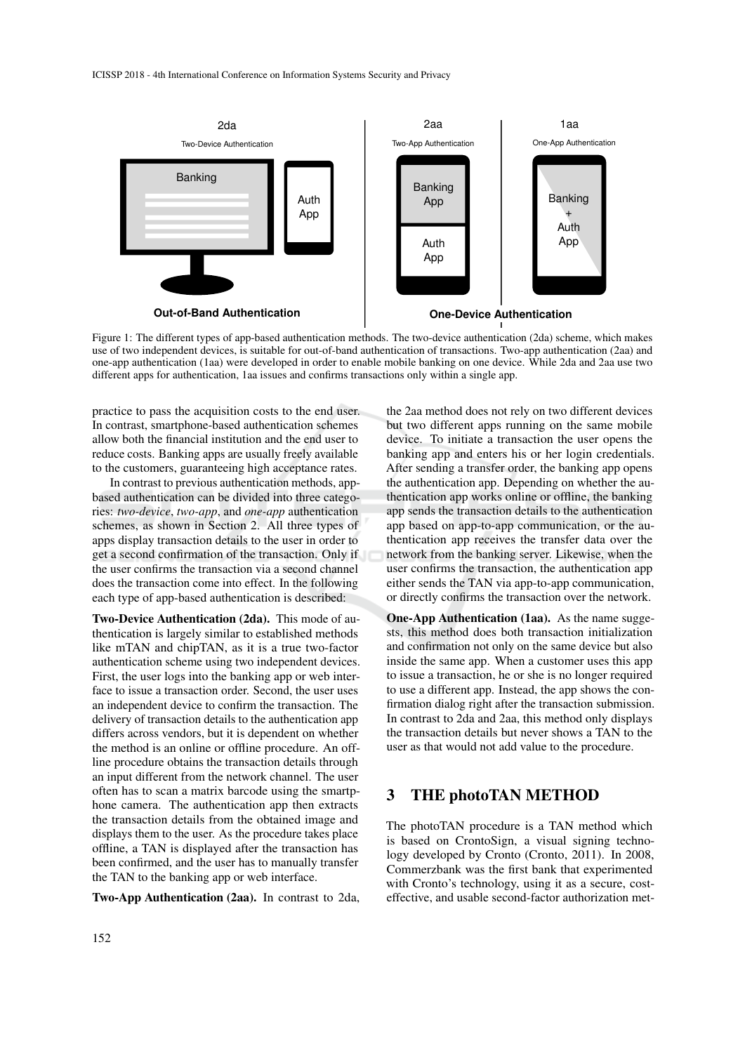

Figure 1: The different types of app-based authentication methods. The two-device authentication (2da) scheme, which makes use of two independent devices, is suitable for out-of-band authentication of transactions. Two-app authentication (2aa) and one-app authentication (1aa) were developed in order to enable mobile banking on one device. While 2da and 2aa use two different apps for authentication, 1aa issues and confirms transactions only within a single app.

practice to pass the acquisition costs to the end user. In contrast, smartphone-based authentication schemes allow both the financial institution and the end user to reduce costs. Banking apps are usually freely available to the customers, guaranteeing high acceptance rates.

In contrast to previous authentication methods, appbased authentication can be divided into three categories: *two-device*, *two-app*, and *one-app* authentication schemes, as shown in Section 2. All three types of apps display transaction details to the user in order to get a second confirmation of the transaction. Only if the user confirms the transaction via a second channel does the transaction come into effect. In the following each type of app-based authentication is described:

Two-Device Authentication (2da). This mode of authentication is largely similar to established methods like mTAN and chipTAN, as it is a true two-factor authentication scheme using two independent devices. First, the user logs into the banking app or web interface to issue a transaction order. Second, the user uses an independent device to confirm the transaction. The delivery of transaction details to the authentication app differs across vendors, but it is dependent on whether the method is an online or offline procedure. An offline procedure obtains the transaction details through an input different from the network channel. The user often has to scan a matrix barcode using the smartphone camera. The authentication app then extracts the transaction details from the obtained image and displays them to the user. As the procedure takes place offline, a TAN is displayed after the transaction has been confirmed, and the user has to manually transfer the TAN to the banking app or web interface.

Two-App Authentication (2aa). In contrast to 2da,

the 2aa method does not rely on two different devices but two different apps running on the same mobile device. To initiate a transaction the user opens the banking app and enters his or her login credentials. After sending a transfer order, the banking app opens the authentication app. Depending on whether the authentication app works online or offline, the banking app sends the transaction details to the authentication app based on app-to-app communication, or the authentication app receives the transfer data over the network from the banking server. Likewise, when the user confirms the transaction, the authentication app either sends the TAN via app-to-app communication, or directly confirms the transaction over the network.

One-App Authentication (1aa). As the name suggests, this method does both transaction initialization and confirmation not only on the same device but also inside the same app. When a customer uses this app to issue a transaction, he or she is no longer required to use a different app. Instead, the app shows the confirmation dialog right after the transaction submission. In contrast to 2da and 2aa, this method only displays the transaction details but never shows a TAN to the user as that would not add value to the procedure.

### 3 THE photoTAN METHOD

The photoTAN procedure is a TAN method which is based on CrontoSign, a visual signing technology developed by Cronto (Cronto, 2011). In 2008, Commerzbank was the first bank that experimented with Cronto's technology, using it as a secure, costeffective, and usable second-factor authorization met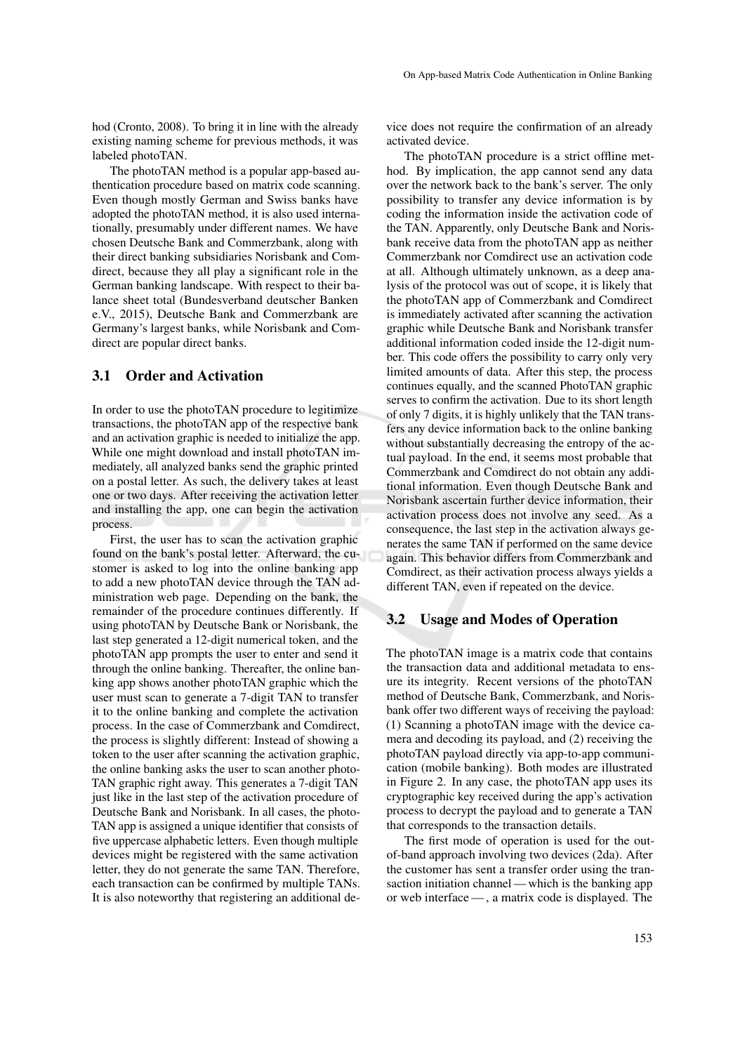hod (Cronto, 2008). To bring it in line with the already existing naming scheme for previous methods, it was labeled photoTAN.

The photoTAN method is a popular app-based authentication procedure based on matrix code scanning. Even though mostly German and Swiss banks have adopted the photoTAN method, it is also used internationally, presumably under different names. We have chosen Deutsche Bank and Commerzbank, along with their direct banking subsidiaries Norisbank and Comdirect, because they all play a significant role in the German banking landscape. With respect to their balance sheet total (Bundesverband deutscher Banken e.V., 2015), Deutsche Bank and Commerzbank are Germany's largest banks, while Norisbank and Comdirect are popular direct banks.

### 3.1 Order and Activation

In order to use the photoTAN procedure to legitimize transactions, the photoTAN app of the respective bank and an activation graphic is needed to initialize the app. While one might download and install photoTAN immediately, all analyzed banks send the graphic printed on a postal letter. As such, the delivery takes at least one or two days. After receiving the activation letter and installing the app, one can begin the activation process.

First, the user has to scan the activation graphic found on the bank's postal letter. Afterward, the customer is asked to log into the online banking app to add a new photoTAN device through the TAN administration web page. Depending on the bank, the remainder of the procedure continues differently. If using photoTAN by Deutsche Bank or Norisbank, the last step generated a 12-digit numerical token, and the photoTAN app prompts the user to enter and send it through the online banking. Thereafter, the online banking app shows another photoTAN graphic which the user must scan to generate a 7-digit TAN to transfer it to the online banking and complete the activation process. In the case of Commerzbank and Comdirect, the process is slightly different: Instead of showing a token to the user after scanning the activation graphic, the online banking asks the user to scan another photo-TAN graphic right away. This generates a 7-digit TAN just like in the last step of the activation procedure of Deutsche Bank and Norisbank. In all cases, the photo-TAN app is assigned a unique identifier that consists of five uppercase alphabetic letters. Even though multiple devices might be registered with the same activation letter, they do not generate the same TAN. Therefore, each transaction can be confirmed by multiple TANs. It is also noteworthy that registering an additional device does not require the confirmation of an already activated device.

The photoTAN procedure is a strict offline method. By implication, the app cannot send any data over the network back to the bank's server. The only possibility to transfer any device information is by coding the information inside the activation code of the TAN. Apparently, only Deutsche Bank and Norisbank receive data from the photoTAN app as neither Commerzbank nor Comdirect use an activation code at all. Although ultimately unknown, as a deep analysis of the protocol was out of scope, it is likely that the photoTAN app of Commerzbank and Comdirect is immediately activated after scanning the activation graphic while Deutsche Bank and Norisbank transfer additional information coded inside the 12-digit number. This code offers the possibility to carry only very limited amounts of data. After this step, the process continues equally, and the scanned PhotoTAN graphic serves to confirm the activation. Due to its short length of only 7 digits, it is highly unlikely that the TAN transfers any device information back to the online banking without substantially decreasing the entropy of the actual payload. In the end, it seems most probable that Commerzbank and Comdirect do not obtain any additional information. Even though Deutsche Bank and Norisbank ascertain further device information, their activation process does not involve any seed. As a consequence, the last step in the activation always generates the same TAN if performed on the same device again. This behavior differs from Commerzbank and Comdirect, as their activation process always yields a different TAN, even if repeated on the device.

#### 3.2 Usage and Modes of Operation

The photoTAN image is a matrix code that contains the transaction data and additional metadata to ensure its integrity. Recent versions of the photoTAN method of Deutsche Bank, Commerzbank, and Norisbank offer two different ways of receiving the payload: (1) Scanning a photoTAN image with the device camera and decoding its payload, and (2) receiving the photoTAN payload directly via app-to-app communication (mobile banking). Both modes are illustrated in Figure 2. In any case, the photoTAN app uses its cryptographic key received during the app's activation process to decrypt the payload and to generate a TAN that corresponds to the transaction details.

The first mode of operation is used for the outof-band approach involving two devices (2da). After the customer has sent a transfer order using the transaction initiation channel — which is the banking app or web interface — , a matrix code is displayed. The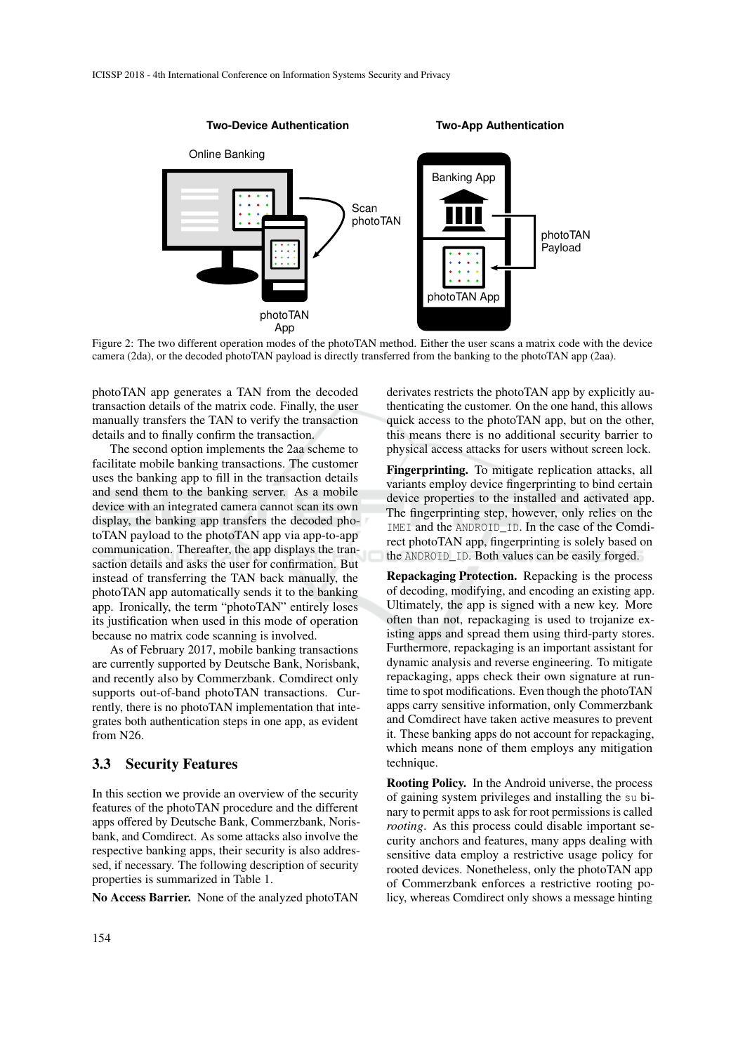

Figure 2: The two different operation modes of the photoTAN method. Either the user scans a matrix code with the device camera (2da), or the decoded photoTAN payload is directly transferred from the banking to the photoTAN app (2aa).

photoTAN app generates a TAN from the decoded transaction details of the matrix code. Finally, the user manually transfers the TAN to verify the transaction details and to finally confirm the transaction.

The second option implements the 2aa scheme to facilitate mobile banking transactions. The customer uses the banking app to fill in the transaction details and send them to the banking server. As a mobile device with an integrated camera cannot scan its own display, the banking app transfers the decoded photoTAN payload to the photoTAN app via app-to-app communication. Thereafter, the app displays the transaction details and asks the user for confirmation. But instead of transferring the TAN back manually, the photoTAN app automatically sends it to the banking app. Ironically, the term "photoTAN" entirely loses its justification when used in this mode of operation because no matrix code scanning is involved.

As of February 2017, mobile banking transactions are currently supported by Deutsche Bank, Norisbank, and recently also by Commerzbank. Comdirect only supports out-of-band photoTAN transactions. Currently, there is no photoTAN implementation that integrates both authentication steps in one app, as evident from N26.

#### 3.3 Security Features

In this section we provide an overview of the security features of the photoTAN procedure and the different apps offered by Deutsche Bank, Commerzbank, Norisbank, and Comdirect. As some attacks also involve the respective banking apps, their security is also addressed, if necessary. The following description of security properties is summarized in Table 1.

No Access Barrier. None of the analyzed photoTAN

derivates restricts the photoTAN app by explicitly authenticating the customer. On the one hand, this allows quick access to the photoTAN app, but on the other, this means there is no additional security barrier to physical access attacks for users without screen lock.

Fingerprinting. To mitigate replication attacks, all variants employ device fingerprinting to bind certain device properties to the installed and activated app. The fingerprinting step, however, only relies on the IMEI and the ANDROID\_ID. In the case of the Comdirect photoTAN app, fingerprinting is solely based on the ANDROID\_ID. Both values can be easily forged.

Repackaging Protection. Repacking is the process of decoding, modifying, and encoding an existing app. Ultimately, the app is signed with a new key. More often than not, repackaging is used to trojanize existing apps and spread them using third-party stores. Furthermore, repackaging is an important assistant for dynamic analysis and reverse engineering. To mitigate repackaging, apps check their own signature at runtime to spot modifications. Even though the photoTAN apps carry sensitive information, only Commerzbank and Comdirect have taken active measures to prevent it. These banking apps do not account for repackaging, which means none of them employs any mitigation technique.

Rooting Policy. In the Android universe, the process of gaining system privileges and installing the su binary to permit apps to ask for root permissions is called *rooting*. As this process could disable important security anchors and features, many apps dealing with sensitive data employ a restrictive usage policy for rooted devices. Nonetheless, only the photoTAN app of Commerzbank enforces a restrictive rooting policy, whereas Comdirect only shows a message hinting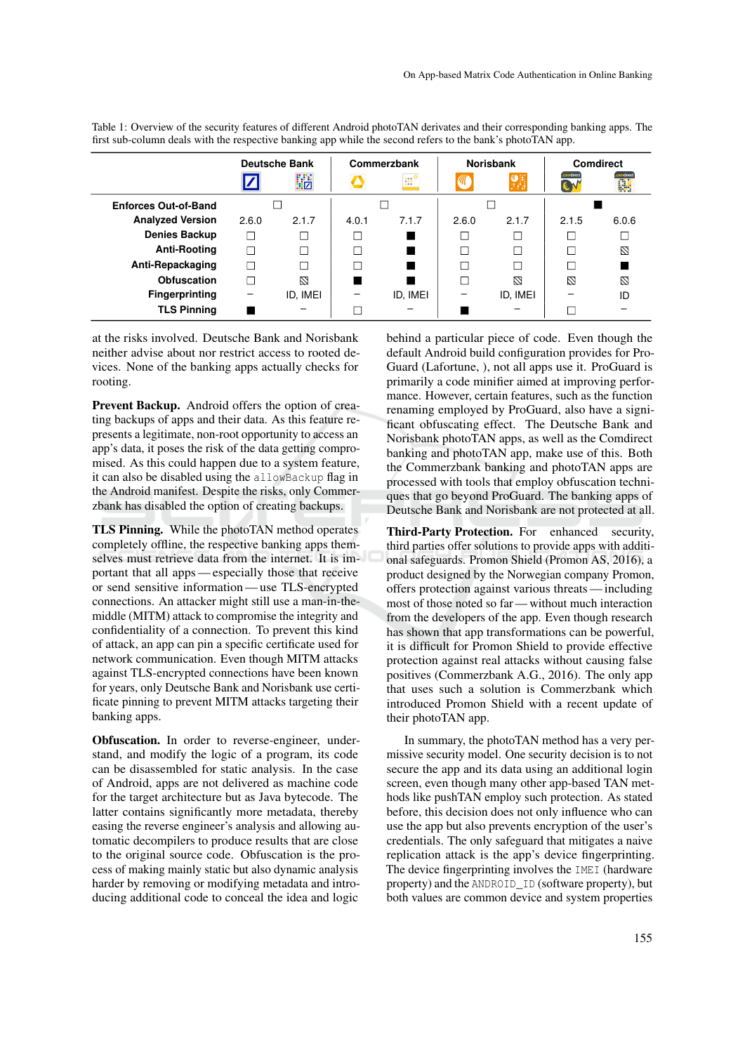|                             | $\tilde{}$<br>. .    |          |             |                      | . .              |          |                  |       |
|-----------------------------|----------------------|----------|-------------|----------------------|------------------|----------|------------------|-------|
|                             | <b>Deutsche Bank</b> |          | Commerzbank |                      | <b>Norisbank</b> |          | <b>Comdirect</b> |       |
|                             |                      | 鼯        |             | $\mathbb{H}^{\circ}$ | C                | F.       | mdırect<br>E N   | 鼲     |
| <b>Enforces Out-of-Band</b> |                      |          |             |                      |                  |          |                  |       |
| <b>Analyzed Version</b>     | 2.6.0                | 2.1.7    | 4.0.1       | 7.1.7                | 2.6.0            | 2.1.7    | 2.1.5            | 6.0.6 |
| <b>Denies Backup</b>        | L                    | Τ        |             |                      |                  |          |                  |       |
| <b>Anti-Rooting</b>         | П                    | Ξ        | П           |                      | Τ                |          | П                | Ø     |
| Anti-Repackaging            |                      | ⊓        | П           |                      |                  |          |                  |       |
| Obfuscation                 |                      | N        |             |                      |                  | N        | N                | M     |
| <b>Fingerprinting</b>       |                      | ID, IMEI |             | ID, IMEI             |                  | ID, IMEI |                  | ID    |
| <b>TLS Pinning</b>          |                      |          |             |                      |                  |          |                  |       |

Table 1: Overview of the security features of different Android photoTAN derivates and their corresponding banking apps. The first sub-column deals with the respective banking app while the second refers to the bank's photoTAN app.

at the risks involved. Deutsche Bank and Norisbank neither advise about nor restrict access to rooted devices. None of the banking apps actually checks for rooting.

Prevent Backup. Android offers the option of creating backups of apps and their data. As this feature represents a legitimate, non-root opportunity to access an app's data, it poses the risk of the data getting compromised. As this could happen due to a system feature, it can also be disabled using the allowBackup flag in the Android manifest. Despite the risks, only Commerzbank has disabled the option of creating backups.

TLS Pinning. While the photoTAN method operates completely offline, the respective banking apps themselves must retrieve data from the internet. It is important that all apps — especially those that receive or send sensitive information — use TLS-encrypted connections. An attacker might still use a man-in-themiddle (MITM) attack to compromise the integrity and confidentiality of a connection. To prevent this kind of attack, an app can pin a specific certificate used for network communication. Even though MITM attacks against TLS-encrypted connections have been known for years, only Deutsche Bank and Norisbank use certificate pinning to prevent MITM attacks targeting their banking apps.

Obfuscation. In order to reverse-engineer, understand, and modify the logic of a program, its code can be disassembled for static analysis. In the case of Android, apps are not delivered as machine code for the target architecture but as Java bytecode. The latter contains significantly more metadata, thereby easing the reverse engineer's analysis and allowing automatic decompilers to produce results that are close to the original source code. Obfuscation is the process of making mainly static but also dynamic analysis harder by removing or modifying metadata and introducing additional code to conceal the idea and logic behind a particular piece of code. Even though the default Android build configuration provides for Pro-Guard (Lafortune, ), not all apps use it. ProGuard is primarily a code minifier aimed at improving performance. However, certain features, such as the function renaming employed by ProGuard, also have a significant obfuscating effect. The Deutsche Bank and Norisbank photoTAN apps, as well as the Comdirect banking and photoTAN app, make use of this. Both the Commerzbank banking and photoTAN apps are processed with tools that employ obfuscation techniques that go beyond ProGuard. The banking apps of Deutsche Bank and Norisbank are not protected at all.

Third-Party Protection. For enhanced security, third parties offer solutions to provide apps with additional safeguards. Promon Shield (Promon AS, 2016), a product designed by the Norwegian company Promon, offers protection against various threats — including most of those noted so far — without much interaction from the developers of the app. Even though research has shown that app transformations can be powerful, it is difficult for Promon Shield to provide effective protection against real attacks without causing false positives (Commerzbank A.G., 2016). The only app that uses such a solution is Commerzbank which introduced Promon Shield with a recent update of their photoTAN app.

In summary, the photoTAN method has a very permissive security model. One security decision is to not secure the app and its data using an additional login screen, even though many other app-based TAN methods like pushTAN employ such protection. As stated before, this decision does not only influence who can use the app but also prevents encryption of the user's credentials. The only safeguard that mitigates a naive replication attack is the app's device fingerprinting. The device fingerprinting involves the IMEI (hardware property) and the ANDROID\_ID (software property), but both values are common device and system properties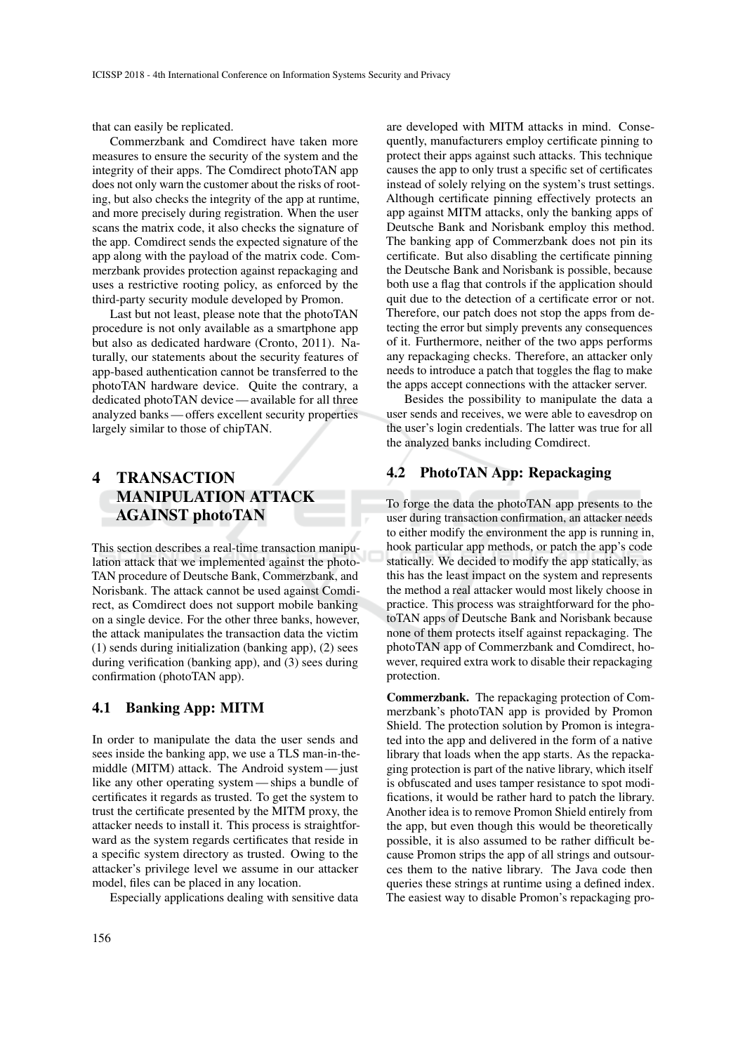that can easily be replicated.

Commerzbank and Comdirect have taken more measures to ensure the security of the system and the integrity of their apps. The Comdirect photoTAN app does not only warn the customer about the risks of rooting, but also checks the integrity of the app at runtime, and more precisely during registration. When the user scans the matrix code, it also checks the signature of the app. Comdirect sends the expected signature of the app along with the payload of the matrix code. Commerzbank provides protection against repackaging and uses a restrictive rooting policy, as enforced by the third-party security module developed by Promon.

Last but not least, please note that the photoTAN procedure is not only available as a smartphone app but also as dedicated hardware (Cronto, 2011). Naturally, our statements about the security features of app-based authentication cannot be transferred to the photoTAN hardware device. Quite the contrary, a dedicated photoTAN device — available for all three analyzed banks — offers excellent security properties largely similar to those of chipTAN.

## 4 TRANSACTION MANIPULATION ATTACK AGAINST photoTAN

This section describes a real-time transaction manipulation attack that we implemented against the photo-TAN procedure of Deutsche Bank, Commerzbank, and Norisbank. The attack cannot be used against Comdirect, as Comdirect does not support mobile banking on a single device. For the other three banks, however, the attack manipulates the transaction data the victim (1) sends during initialization (banking app), (2) sees during verification (banking app), and (3) sees during confirmation (photoTAN app).

#### 4.1 Banking App: MITM

In order to manipulate the data the user sends and sees inside the banking app, we use a TLS man-in-themiddle (MITM) attack. The Android system — just like any other operating system — ships a bundle of certificates it regards as trusted. To get the system to trust the certificate presented by the MITM proxy, the attacker needs to install it. This process is straightforward as the system regards certificates that reside in a specific system directory as trusted. Owing to the attacker's privilege level we assume in our attacker model, files can be placed in any location.

Especially applications dealing with sensitive data

are developed with MITM attacks in mind. Consequently, manufacturers employ certificate pinning to protect their apps against such attacks. This technique causes the app to only trust a specific set of certificates instead of solely relying on the system's trust settings. Although certificate pinning effectively protects an app against MITM attacks, only the banking apps of Deutsche Bank and Norisbank employ this method. The banking app of Commerzbank does not pin its certificate. But also disabling the certificate pinning the Deutsche Bank and Norisbank is possible, because both use a flag that controls if the application should quit due to the detection of a certificate error or not. Therefore, our patch does not stop the apps from detecting the error but simply prevents any consequences of it. Furthermore, neither of the two apps performs any repackaging checks. Therefore, an attacker only needs to introduce a patch that toggles the flag to make the apps accept connections with the attacker server.

Besides the possibility to manipulate the data a user sends and receives, we were able to eavesdrop on the user's login credentials. The latter was true for all the analyzed banks including Comdirect.

## 4.2 PhotoTAN App: Repackaging

To forge the data the photoTAN app presents to the user during transaction confirmation, an attacker needs to either modify the environment the app is running in, hook particular app methods, or patch the app's code statically. We decided to modify the app statically, as this has the least impact on the system and represents the method a real attacker would most likely choose in practice. This process was straightforward for the photoTAN apps of Deutsche Bank and Norisbank because none of them protects itself against repackaging. The photoTAN app of Commerzbank and Comdirect, however, required extra work to disable their repackaging protection.

Commerzbank. The repackaging protection of Commerzbank's photoTAN app is provided by Promon Shield. The protection solution by Promon is integrated into the app and delivered in the form of a native library that loads when the app starts. As the repackaging protection is part of the native library, which itself is obfuscated and uses tamper resistance to spot modifications, it would be rather hard to patch the library. Another idea is to remove Promon Shield entirely from the app, but even though this would be theoretically possible, it is also assumed to be rather difficult because Promon strips the app of all strings and outsources them to the native library. The Java code then queries these strings at runtime using a defined index. The easiest way to disable Promon's repackaging pro-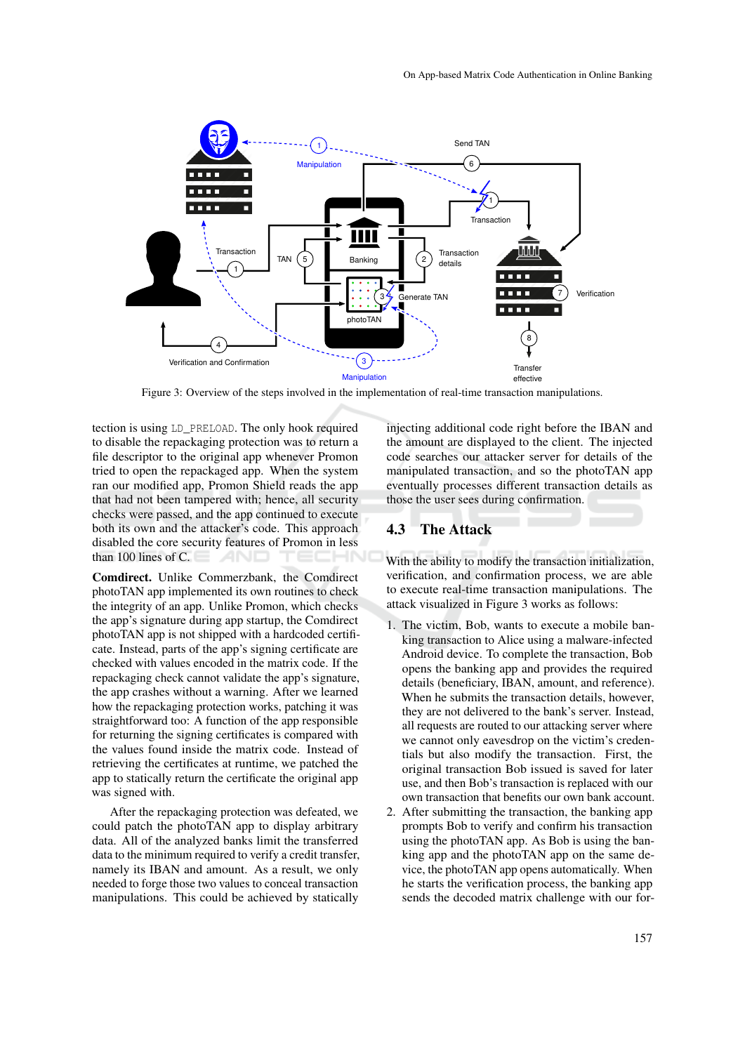

Figure 3: Overview of the steps involved in the implementation of real-time transaction manipulations.

tection is using LD\_PRELOAD. The only hook required to disable the repackaging protection was to return a file descriptor to the original app whenever Promon tried to open the repackaged app. When the system ran our modified app, Promon Shield reads the app that had not been tampered with; hence, all security checks were passed, and the app continued to execute both its own and the attacker's code. This approach disabled the core security features of Promon in less than 100 lines of C. AND

Comdirect. Unlike Commerzbank, the Comdirect photoTAN app implemented its own routines to check the integrity of an app. Unlike Promon, which checks the app's signature during app startup, the Comdirect photoTAN app is not shipped with a hardcoded certificate. Instead, parts of the app's signing certificate are checked with values encoded in the matrix code. If the repackaging check cannot validate the app's signature, the app crashes without a warning. After we learned how the repackaging protection works, patching it was straightforward too: A function of the app responsible for returning the signing certificates is compared with the values found inside the matrix code. Instead of retrieving the certificates at runtime, we patched the app to statically return the certificate the original app was signed with.

After the repackaging protection was defeated, we could patch the photoTAN app to display arbitrary data. All of the analyzed banks limit the transferred data to the minimum required to verify a credit transfer, namely its IBAN and amount. As a result, we only needed to forge those two values to conceal transaction manipulations. This could be achieved by statically

injecting additional code right before the IBAN and the amount are displayed to the client. The injected code searches our attacker server for details of the manipulated transaction, and so the photoTAN app eventually processes different transaction details as those the user sees during confirmation.

#### 4.3 The Attack

With the ability to modify the transaction initialization, verification, and confirmation process, we are able to execute real-time transaction manipulations. The attack visualized in Figure 3 works as follows:

- 1. The victim, Bob, wants to execute a mobile banking transaction to Alice using a malware-infected Android device. To complete the transaction, Bob opens the banking app and provides the required details (beneficiary, IBAN, amount, and reference). When he submits the transaction details, however, they are not delivered to the bank's server. Instead, all requests are routed to our attacking server where we cannot only eavesdrop on the victim's credentials but also modify the transaction. First, the original transaction Bob issued is saved for later use, and then Bob's transaction is replaced with our own transaction that benefits our own bank account.
- 2. After submitting the transaction, the banking app prompts Bob to verify and confirm his transaction using the photoTAN app. As Bob is using the banking app and the photoTAN app on the same device, the photoTAN app opens automatically. When he starts the verification process, the banking app sends the decoded matrix challenge with our for-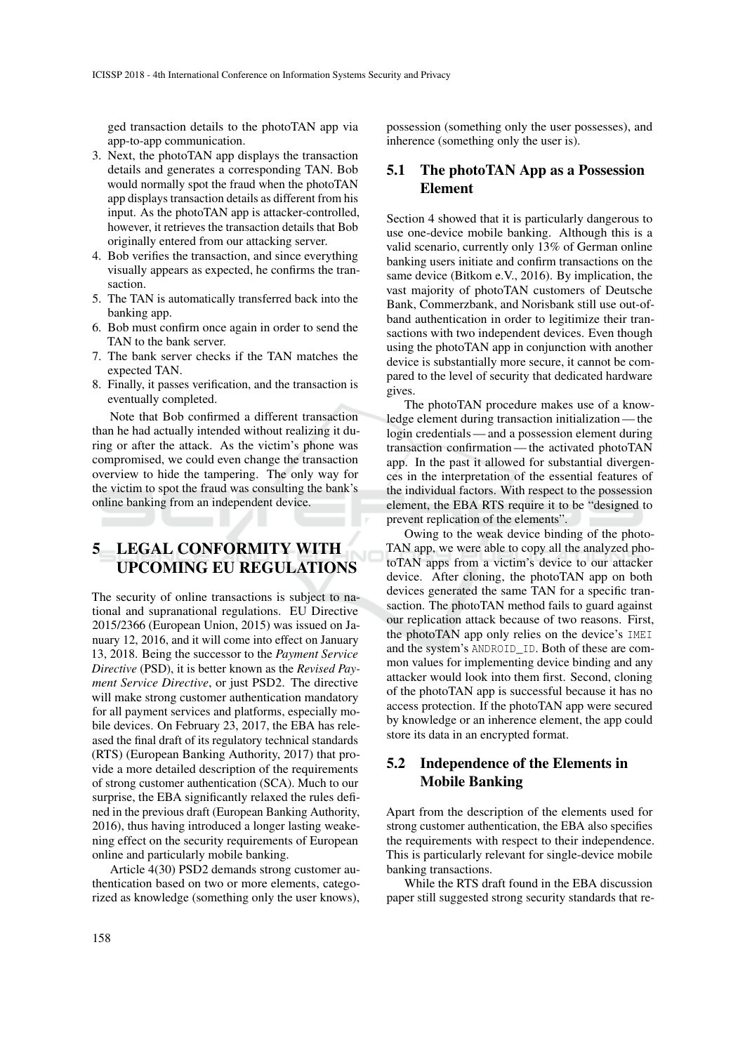ged transaction details to the photoTAN app via app-to-app communication.

- 3. Next, the photoTAN app displays the transaction details and generates a corresponding TAN. Bob would normally spot the fraud when the photoTAN app displays transaction details as different from his input. As the photoTAN app is attacker-controlled, however, it retrieves the transaction details that Bob originally entered from our attacking server.
- 4. Bob verifies the transaction, and since everything visually appears as expected, he confirms the transaction.
- 5. The TAN is automatically transferred back into the banking app.
- 6. Bob must confirm once again in order to send the TAN to the bank server.
- 7. The bank server checks if the TAN matches the expected TAN.
- 8. Finally, it passes verification, and the transaction is eventually completed.

Note that Bob confirmed a different transaction than he had actually intended without realizing it during or after the attack. As the victim's phone was compromised, we could even change the transaction overview to hide the tampering. The only way for the victim to spot the fraud was consulting the bank's online banking from an independent device.

## 5 LEGAL CONFORMITY WITH UPCOMING EU REGULATIONS

The security of online transactions is subject to national and supranational regulations. EU Directive 2015/2366 (European Union, 2015) was issued on January 12, 2016, and it will come into effect on January 13, 2018. Being the successor to the *Payment Service Directive* (PSD), it is better known as the *Revised Payment Service Directive*, or just PSD2. The directive will make strong customer authentication mandatory for all payment services and platforms, especially mobile devices. On February 23, 2017, the EBA has released the final draft of its regulatory technical standards (RTS) (European Banking Authority, 2017) that provide a more detailed description of the requirements of strong customer authentication (SCA). Much to our surprise, the EBA significantly relaxed the rules defined in the previous draft (European Banking Authority, 2016), thus having introduced a longer lasting weakening effect on the security requirements of European online and particularly mobile banking.

Article 4(30) PSD2 demands strong customer authentication based on two or more elements, categorized as knowledge (something only the user knows),

possession (something only the user possesses), and inherence (something only the user is).

## 5.1 The photoTAN App as a Possession Element

Section 4 showed that it is particularly dangerous to use one-device mobile banking. Although this is a valid scenario, currently only 13% of German online banking users initiate and confirm transactions on the same device (Bitkom e.V., 2016). By implication, the vast majority of photoTAN customers of Deutsche Bank, Commerzbank, and Norisbank still use out-ofband authentication in order to legitimize their transactions with two independent devices. Even though using the photoTAN app in conjunction with another device is substantially more secure, it cannot be compared to the level of security that dedicated hardware gives.

The photoTAN procedure makes use of a knowledge element during transaction initialization — the login credentials — and a possession element during transaction confirmation — the activated photoTAN app. In the past it allowed for substantial divergences in the interpretation of the essential features of the individual factors. With respect to the possession element, the EBA RTS require it to be "designed to prevent replication of the elements".

Owing to the weak device binding of the photo-TAN app, we were able to copy all the analyzed photoTAN apps from a victim's device to our attacker device. After cloning, the photoTAN app on both devices generated the same TAN for a specific transaction. The photoTAN method fails to guard against our replication attack because of two reasons. First, the photoTAN app only relies on the device's IMEI and the system's ANDROID\_ID. Both of these are common values for implementing device binding and any attacker would look into them first. Second, cloning of the photoTAN app is successful because it has no access protection. If the photoTAN app were secured by knowledge or an inherence element, the app could store its data in an encrypted format.

## 5.2 Independence of the Elements in Mobile Banking

Apart from the description of the elements used for strong customer authentication, the EBA also specifies the requirements with respect to their independence. This is particularly relevant for single-device mobile banking transactions.

While the RTS draft found in the EBA discussion paper still suggested strong security standards that re-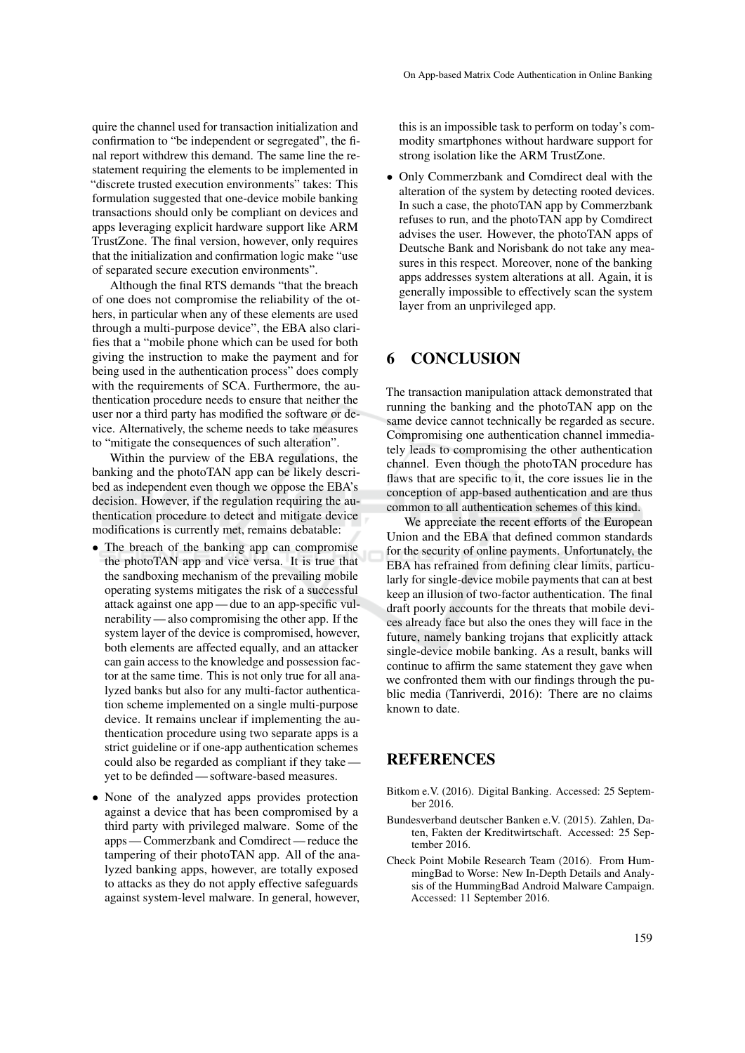quire the channel used for transaction initialization and confirmation to "be independent or segregated", the final report withdrew this demand. The same line the restatement requiring the elements to be implemented in "discrete trusted execution environments" takes: This formulation suggested that one-device mobile banking transactions should only be compliant on devices and apps leveraging explicit hardware support like ARM TrustZone. The final version, however, only requires that the initialization and confirmation logic make "use of separated secure execution environments".

Although the final RTS demands "that the breach of one does not compromise the reliability of the others, in particular when any of these elements are used through a multi-purpose device", the EBA also clarifies that a "mobile phone which can be used for both giving the instruction to make the payment and for being used in the authentication process" does comply with the requirements of SCA. Furthermore, the authentication procedure needs to ensure that neither the user nor a third party has modified the software or device. Alternatively, the scheme needs to take measures to "mitigate the consequences of such alteration".

Within the purview of the EBA regulations, the banking and the photoTAN app can be likely described as independent even though we oppose the EBA's decision. However, if the regulation requiring the authentication procedure to detect and mitigate device modifications is currently met, remains debatable:

- The breach of the banking app can compromise the photoTAN app and vice versa. It is true that the sandboxing mechanism of the prevailing mobile operating systems mitigates the risk of a successful attack against one app — due to an app-specific vulnerability — also compromising the other app. If the system layer of the device is compromised, however, both elements are affected equally, and an attacker can gain access to the knowledge and possession factor at the same time. This is not only true for all analyzed banks but also for any multi-factor authentication scheme implemented on a single multi-purpose device. It remains unclear if implementing the authentication procedure using two separate apps is a strict guideline or if one-app authentication schemes could also be regarded as compliant if they take yet to be definded — software-based measures.
- None of the analyzed apps provides protection against a device that has been compromised by a third party with privileged malware. Some of the apps — Commerzbank and Comdirect — reduce the tampering of their photoTAN app. All of the analyzed banking apps, however, are totally exposed to attacks as they do not apply effective safeguards against system-level malware. In general, however,

this is an impossible task to perform on today's commodity smartphones without hardware support for strong isolation like the ARM TrustZone.

• Only Commerzbank and Comdirect deal with the alteration of the system by detecting rooted devices. In such a case, the photoTAN app by Commerzbank refuses to run, and the photoTAN app by Comdirect advises the user. However, the photoTAN apps of Deutsche Bank and Norisbank do not take any measures in this respect. Moreover, none of the banking apps addresses system alterations at all. Again, it is generally impossible to effectively scan the system layer from an unprivileged app.

## 6 CONCLUSION

The transaction manipulation attack demonstrated that running the banking and the photoTAN app on the same device cannot technically be regarded as secure. Compromising one authentication channel immediately leads to compromising the other authentication channel. Even though the photoTAN procedure has flaws that are specific to it, the core issues lie in the conception of app-based authentication and are thus common to all authentication schemes of this kind.

We appreciate the recent efforts of the European Union and the EBA that defined common standards for the security of online payments. Unfortunately, the EBA has refrained from defining clear limits, particularly for single-device mobile payments that can at best keep an illusion of two-factor authentication. The final draft poorly accounts for the threats that mobile devices already face but also the ones they will face in the future, namely banking trojans that explicitly attack single-device mobile banking. As a result, banks will continue to affirm the same statement they gave when we confronted them with our findings through the public media (Tanriverdi, 2016): There are no claims known to date.

## **REFERENCES**

- Bitkom e.V. (2016). Digital Banking. Accessed: 25 September 2016.
- Bundesverband deutscher Banken e.V. (2015). Zahlen, Daten, Fakten der Kreditwirtschaft. Accessed: 25 September 2016.
- Check Point Mobile Research Team (2016). From HummingBad to Worse: New In-Depth Details and Analysis of the HummingBad Android Malware Campaign. Accessed: 11 September 2016.